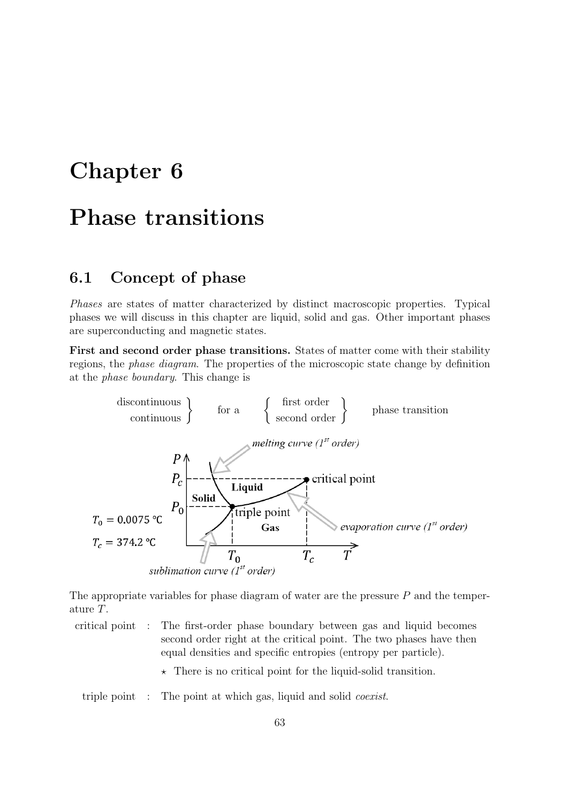# Chapter 6

# Phase transitions

### 6.1 Concept of phase

Phases are states of matter characterized by distinct macroscopic properties. Typical phases we will discuss in this chapter are liquid, solid and gas. Other important phases are superconducting and magnetic states.

First and second order phase transitions. States of matter come with their stability regions, the phase diagram. The properties of the microscopic state change by definition at the phase boundary. This change is



The appropriate variables for phase diagram of water are the pressure  $P$  and the temperature T.

- critical point : The first-order phase boundary between gas and liquid becomes second order right at the critical point. The two phases have then equal densities and specific entropies (entropy per particle).
	- $\star$  There is no critical point for the liquid-solid transition.

triple point : The point at which gas, liquid and solid *coexist*.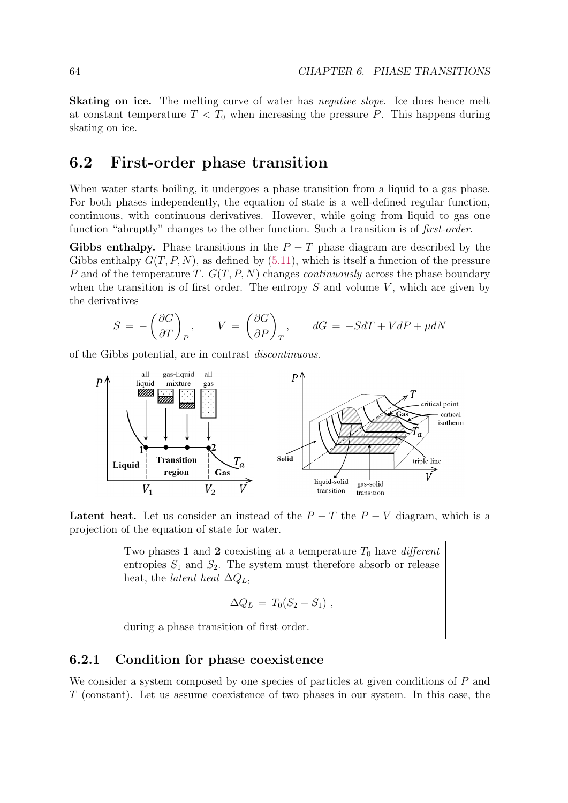Skating on ice. The melting curve of water has *negative slope*. Ice does hence melt at constant temperature  $T < T_0$  when increasing the pressure P. This happens during skating on ice.

## 6.2 First-order phase transition

When water starts boiling, it undergoes a phase transition from a liquid to a gas phase. For both phases independently, the equation of state is a well-defined regular function, continuous, with continuous derivatives. However, while going from liquid to gas one function "abruptly" changes to the other function. Such a transition is of *first-order*.

Gibbs enthalpy. Phase transitions in the  $P - T$  phase diagram are described by the Gibbs enthalpy  $G(T, P, N)$ , as defined by (5.11), which is itself a function of the pressure P and of the temperature T.  $G(T, P, N)$  changes *continuously* across the phase boundary when the transition is of first order. The entropy  $S$  and volume  $V$ , which are given by the derivatives

$$
S = -\left(\frac{\partial G}{\partial T}\right)_P, \qquad V = \left(\frac{\partial G}{\partial P}\right)_T, \qquad dG = -SdT + VdP + \mu dN
$$

of the Gibbs potential, are in contrast discontinuous.



Latent heat. Let us consider an instead of the  $P - T$  the  $P - V$  diagram, which is a projection of the equation of state for water.

Two phases 1 and 2 coexisting at a temperature  $T_0$  have *different* entropies  $S_1$  and  $S_2$ . The system must therefore absorb or release heat, the *latent* heat  $\Delta Q_L$ ,

$$
\Delta Q_L = T_0 (S_2 - S_1) ,
$$

during a phase transition of first order.

#### 6.2.1 Condition for phase coexistence

We consider a system composed by one species of particles at given conditions of P and T (constant). Let us assume coexistence of two phases in our system. In this case, the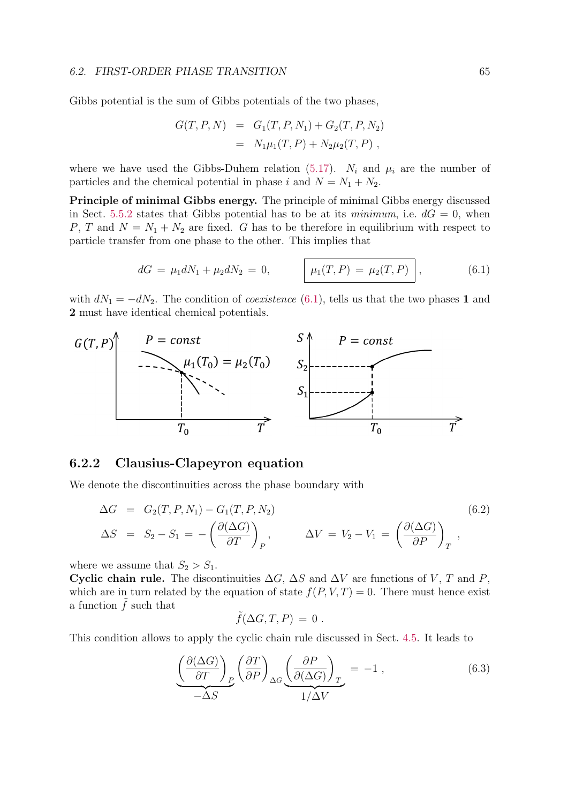Gibbs potential is the sum of Gibbs potentials of the two phases,

$$
G(T, P, N) = G_1(T, P, N_1) + G_2(T, P, N_2)
$$
  
=  $N_1\mu_1(T, P) + N_2\mu_2(T, P)$ ,

where we have used the Gibbs-Duhem relation (5.17).  $N_i$  and  $\mu_i$  are the number of particles and the chemical potential in phase i and  $N = N_1 + N_2$ .

Principle of minimal Gibbs energy. The principle of minimal Gibbs energy discussed in Sect. 5.5.2 states that Gibbs potential has to be at its minimum, i.e.  $dG = 0$ , when P, T and  $N = N_1 + N_2$  are fixed. G has to be therefore in equilibrium with respect to particle transfer from one phase to the other. This implies that

$$
dG = \mu_1 dN_1 + \mu_2 dN_2 = 0, \qquad \boxed{\mu_1(T, P) = \mu_2(T, P)}, \qquad (6.1)
$$

with  $dN_1 = -dN_2$ . The condition of *coexistence* (6.1), tells us that the two phases 1 and 2 must have identical chemical potentials.



#### 6.2.2 Clausius-Clapeyron equation

We denote the discontinuities across the phase boundary with

$$
\Delta G = G_2(T, P, N_1) - G_1(T, P, N_2)
$$
\n
$$
\Delta S = S_2 - S_1 = -\left(\frac{\partial(\Delta G)}{\partial T}\right)_P, \qquad \Delta V = V_2 - V_1 = \left(\frac{\partial(\Delta G)}{\partial P}\right)_T,
$$
\n(6.2)

where we assume that  $S_2 > S_1$ .

Cyclic chain rule. The discontinuities  $\Delta G$ ,  $\Delta S$  and  $\Delta V$  are functions of V, T and P, which are in turn related by the equation of state  $f(P, V, T) = 0$ . There must hence exist a function  $\tilde{f}$  such that

$$
f(\Delta G, T, P) = 0
$$

This condition allows to apply the cyclic chain rule discussed in Sect. 4.5. It leads to

$$
\underbrace{\left(\frac{\partial(\Delta G)}{\partial T}\right)_P}_{-\Delta S} \left(\frac{\partial T}{\partial P}\right)_{\Delta G} \underbrace{\left(\frac{\partial P}{\partial(\Delta G)}\right)_T}_{1/\Delta V} = -1 ,
$$
\n(6.3)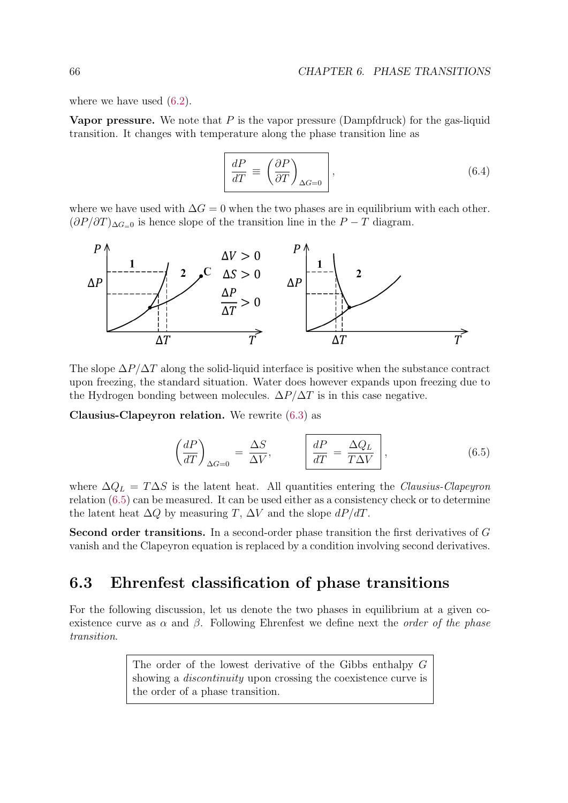where we have used  $(6.2)$ .

**Vapor pressure.** We note that  $P$  is the vapor pressure (Dampfdruck) for the gas-liquid transition. It changes with temperature along the phase transition line as

$$
\frac{dP}{dT} \equiv \left(\frac{\partial P}{\partial T}\right)_{\Delta G = 0},
$$
\n(6.4)

where we have used with  $\Delta G = 0$  when the two phases are in equilibrium with each other.  $(\partial P/\partial T)_{\Delta G=0}$  is hence slope of the transition line in the  $P-T$  diagram.



The slope  $\Delta P/\Delta T$  along the solid-liquid interface is positive when the substance contract upon freezing, the standard situation. Water does however expands upon freezing due to the Hydrogen bonding between molecules.  $\Delta P/\Delta T$  is in this case negative.

Clausius-Clapeyron relation. We rewrite (6.3) as

$$
\left(\frac{dP}{dT}\right)_{\Delta G=0} = \frac{\Delta S}{\Delta V}, \qquad \left|\frac{dP}{dT} = \frac{\Delta Q_L}{T\Delta V}\right|, \tag{6.5}
$$

where  $\Delta Q_L = T \Delta S$  is the latent heat. All quantities entering the Clausius-Clapeyron relation (6.5) can be measured. It can be used either as a consistency check or to determine the latent heat  $\Delta Q$  by measuring T,  $\Delta V$  and the slope  $dP/dT$ .

Second order transitions. In a second-order phase transition the first derivatives of G vanish and the Clapeyron equation is replaced by a condition involving second derivatives.

# 6.3 Ehrenfest classification of phase transitions

For the following discussion, let us denote the two phases in equilibrium at a given coexistence curve as  $\alpha$  and  $\beta$ . Following Ehrenfest we define next the *order of the phase* transition.

> The order of the lowest derivative of the Gibbs enthalpy G showing a *discontinuity* upon crossing the coexistence curve is the order of a phase transition.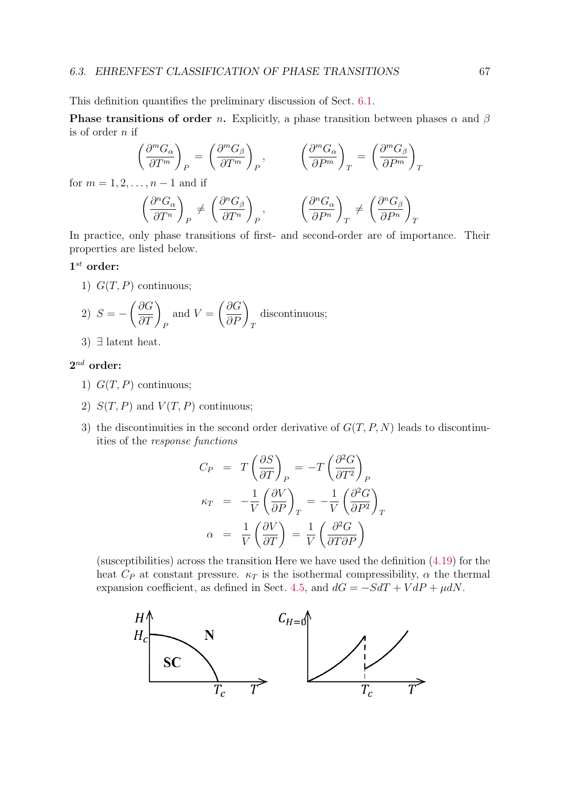#### 6.3. EHRENFEST CLASSIFICATION OF PHASE TRANSITIONS 67

This definition quantifies the preliminary discussion of Sect. 6.1.

**Phase transitions of order n.** Explicitly, a phase transition between phases  $\alpha$  and  $\beta$ is of order  $n$  if

$$
\left(\frac{\partial^m G_{\alpha}}{\partial T^m}\right)_P = \left(\frac{\partial^m G_{\beta}}{\partial T^m}\right)_P, \qquad \left(\frac{\partial^m G_{\alpha}}{\partial P^m}\right)_T = \left(\frac{\partial^m G_{\beta}}{\partial P^m}\right)_T
$$

for  $m = 1, 2, ..., n - 1$  and if

$$
\left(\frac{\partial^n G_{\alpha}}{\partial T^n}\right)_P \neq \left(\frac{\partial^n G_{\beta}}{\partial T^n}\right)_P, \qquad \left(\frac{\partial^n G_{\alpha}}{\partial P^n}\right)_T \neq \left(\frac{\partial^n G_{\beta}}{\partial P^n}\right)_T
$$

In practice, only phase transitions of first- and second-order are of importance. Their properties are listed below.

#### $1^{st}$  order:

1)  $G(T, P)$  continuous;

2) 
$$
S = -\left(\frac{\partial G}{\partial T}\right)_P
$$
 and  $V = \left(\frac{\partial G}{\partial P}\right)_T$  discontinuous;

3) ∃ latent heat.

#### $2^{nd}$  order:

- 1)  $G(T, P)$  continuous;
- 2)  $S(T, P)$  and  $V(T, P)$  continuous;
- 3) the discontinuities in the second order derivative of  $G(T, P, N)$  leads to discontinuities of the response functions

$$
C_P = T \left(\frac{\partial S}{\partial T}\right)_P = -T \left(\frac{\partial^2 G}{\partial T^2}\right)_P
$$
  

$$
\kappa_T = -\frac{1}{V} \left(\frac{\partial V}{\partial P}\right)_T = -\frac{1}{V} \left(\frac{\partial^2 G}{\partial P^2}\right)_T
$$
  

$$
\alpha = \frac{1}{V} \left(\frac{\partial V}{\partial T}\right) = \frac{1}{V} \left(\frac{\partial^2 G}{\partial T \partial P}\right)
$$

(susceptibilities) across the transition Here we have used the definition (4.19) for the heat  $C_P$  at constant pressure.  $\kappa_T$  is the isothermal compressibility,  $\alpha$  the thermal expansion coefficient, as defined in Sect. 4.5, and  $dG = -SdT + VdP + \mu dN$ .

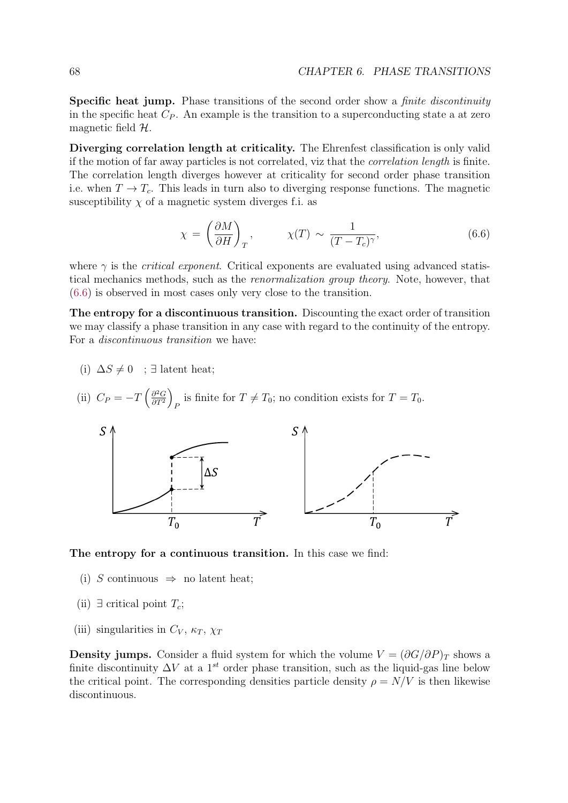Specific heat jump. Phase transitions of the second order show a *finite discontinuity* in the specific heat  $C_P$ . An example is the transition to a superconducting state a at zero magnetic field  $H$ .

Diverging correlation length at criticality. The Ehrenfest classification is only valid if the motion of far away particles is not correlated, viz that the correlation length is finite. The correlation length diverges however at criticality for second order phase transition i.e. when  $T \to T_c$ . This leads in turn also to diverging response functions. The magnetic susceptibility  $\chi$  of a magnetic system diverges f.i. as

$$
\chi = \left(\frac{\partial M}{\partial H}\right)_T, \qquad \chi(T) \sim \frac{1}{(T - T_c)^\gamma}, \qquad (6.6)
$$

where  $\gamma$  is the *critical exponent*. Critical exponents are evaluated using advanced statistical mechanics methods, such as the renormalization group theory. Note, however, that (6.6) is observed in most cases only very close to the transition.

The entropy for a discontinuous transition. Discounting the exact order of transition we may classify a phase transition in any case with regard to the continuity of the entropy. For a discontinuous transition we have:

- (i)  $\Delta S \neq 0$  ;  $\exists$  latent heat;
- (ii)  $C_P = -T \left(\frac{\partial^2 G}{\partial T^2}\right)$  $\partial T^2$  $\lambda$ is finite for  $T \neq T_0$ ; no condition exists for  $T = T_0$ .



The entropy for a continuous transition. In this case we find:

- (i) S continuous  $\Rightarrow$  no latent heat;
- (ii)  $\exists$  critical point  $T_c$ ;
- (iii) singularities in  $C_V$ ,  $\kappa_T$ ,  $\chi_T$

**Density jumps.** Consider a fluid system for which the volume  $V = (\partial G/\partial P)_T$  shows a finite discontinuity  $\Delta V$  at a 1<sup>st</sup> order phase transition, such as the liquid-gas line below the critical point. The corresponding densities particle density  $\rho = N/V$  is then likewise discontinuous.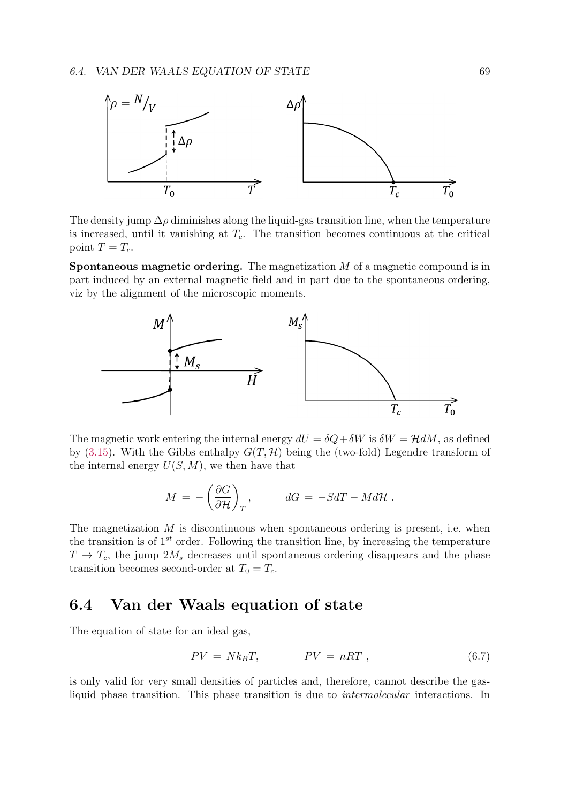

The density jump  $\Delta \rho$  diminishes along the liquid-gas transition line, when the temperature is increased, until it vanishing at  $T_c$ . The transition becomes continuous at the critical point  $T = T_c$ .

**Spontaneous magnetic ordering.** The magnetization  $M$  of a magnetic compound is in part induced by an external magnetic field and in part due to the spontaneous ordering, viz by the alignment of the microscopic moments.



The magnetic work entering the internal energy  $dU = \delta Q + \delta W$  is  $\delta W = \mathcal{H} dM$ , as defined by (3.15). With the Gibbs enthalpy  $G(T, \mathcal{H})$  being the (two-fold) Legendre transform of the internal energy  $U(S, M)$ , we then have that

$$
M = -\left(\frac{\partial G}{\partial \mathcal{H}}\right)_T, \qquad dG = -SdT - Md\mathcal{H}.
$$

The magnetization  $M$  is discontinuous when spontaneous ordering is present, i.e. when the transition is of  $1^{st}$  order. Following the transition line, by increasing the temperature  $T \rightarrow T_c$ , the jump  $2M_s$  decreases until spontaneous ordering disappears and the phase transition becomes second-order at  $T_0 = T_c$ .

### 6.4 Van der Waals equation of state

The equation of state for an ideal gas,

$$
PV = Nk_B T, \qquad PV = nRT, \qquad (6.7)
$$

is only valid for very small densities of particles and, therefore, cannot describe the gasliquid phase transition. This phase transition is due to intermolecular interactions. In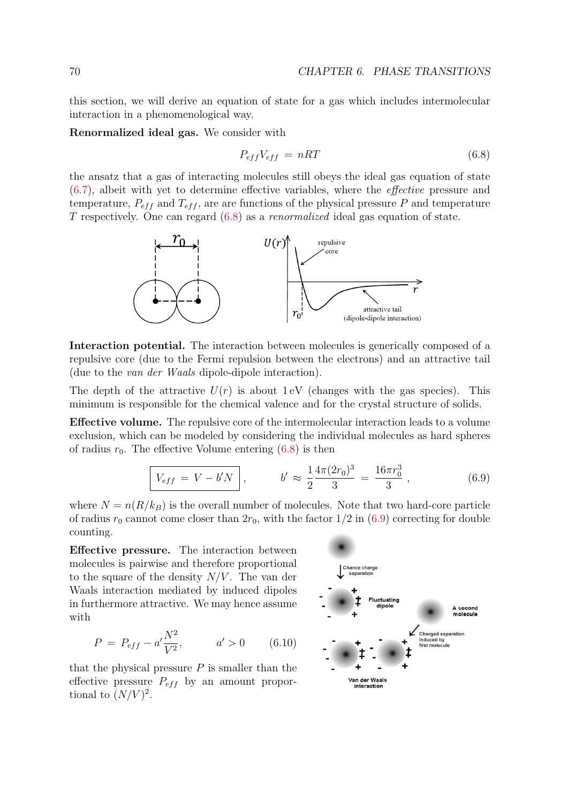this section, we will derive an equation of state for a gas which includes intermolecular interaction in a phenomenological way.

Renormalized ideal gas. We consider with

$$
P_{eff}V_{eff} = nRT \tag{6.8}
$$

the ansatz that a gas of interacting molecules still obeys the ideal gas equation of state (6.7), albeit with yet to determine effective variables, where the effective pressure and temperature,  $P_{eff}$  and  $T_{eff}$ , are are functions of the physical pressure P and temperature T respectively. One can regard (6.8) as a renormalized ideal gas equation of state.



Interaction potential. The interaction between molecules is generically composed of a repulsive core (due to the Fermi repulsion between the electrons) and an attractive tail (due to the van der Waals dipole-dipole interaction).

The depth of the attractive  $U(r)$  is about 1 eV (changes with the gas species). This minimum is responsible for the chemical valence and for the crystal structure of solids.

Effective volume. The repulsive core of the intermolecular interaction leads to a volume exclusion, which can be modeled by considering the individual molecules as hard spheres of radius  $r_0$ . The effective Volume entering (6.8) is then

$$
\boxed{V_{eff} = V - b'N} \,, \qquad b' \approx \frac{1}{2} \frac{4\pi (2r_0)^3}{3} = \frac{16\pi r_0^3}{3} \,, \tag{6.9}
$$

where  $N = n(R/k_B)$  is the overall number of molecules. Note that two hard-core particle of radius  $r_0$  cannot come closer than  $2r_0$ , with the factor  $1/2$  in (6.9) correcting for double counting.

Effective pressure. The interaction between molecules is pairwise and therefore proportional to the square of the density  $N/V$ . The van der Waals interaction mediated by induced dipoles in furthermore attractive. We may hence assume with

$$
P = P_{eff} - a' \frac{N^2}{V^2}, \qquad a' > 0 \qquad (6.10)
$$

that the physical pressure  $P$  is smaller than the effective pressure  $P_{eff}$  by an amount proportional to  $(N/V)^2$ .

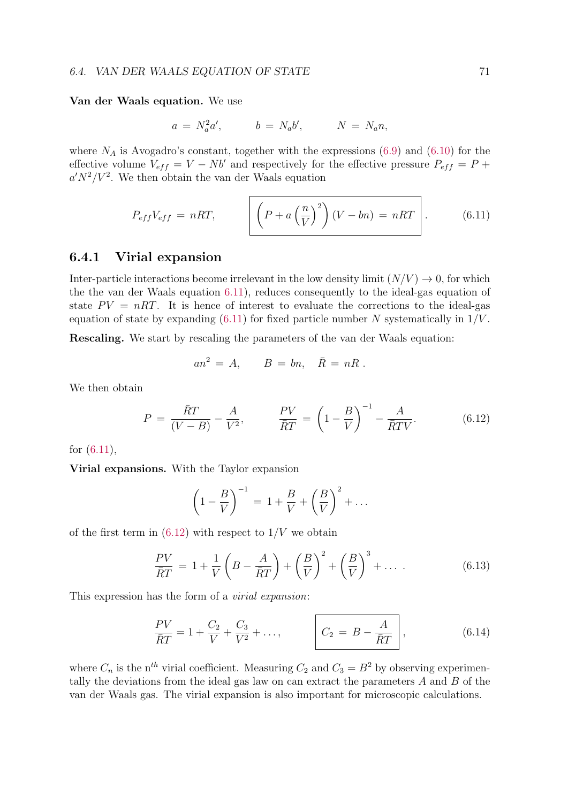#### Van der Waals equation. We use

$$
a = N_a^2 a', \qquad b = N_a b', \qquad N = N_a n,
$$

where  $N_A$  is Avogadro's constant, together with the expressions (6.9) and (6.10) for the effective volume  $V_{eff} = V - Nb'$  and respectively for the effective pressure  $P_{eff} = P +$  $a'N^2/V^2$ . We then obtain the van der Waals equation

$$
P_{eff}V_{eff} = nRT, \qquad \left[ \left( P + a \left( \frac{n}{V} \right)^2 \right) (V - bn) = nRT \right]. \tag{6.11}
$$

#### 6.4.1 Virial expansion

Inter-particle interactions become irrelevant in the low density limit  $(N/V) \rightarrow 0$ , for which the the van der Waals equation 6.11), reduces consequently to the ideal-gas equation of state  $PV = nRT$ . It is hence of interest to evaluate the corrections to the ideal-gas equation of state by expanding  $(6.11)$  for fixed particle number N systematically in  $1/V$ .

Rescaling. We start by rescaling the parameters of the van der Waals equation:

$$
an^2 = A, \qquad B = bn, \quad \bar{R} = nR \; .
$$

We then obtain

$$
P = \frac{\bar{R}T}{(V-B)} - \frac{A}{V^2}, \qquad \frac{PV}{\bar{R}T} = \left(1 - \frac{B}{V}\right)^{-1} - \frac{A}{\bar{R}TV}.
$$
 (6.12)

for (6.11),

Virial expansions. With the Taylor expansion

$$
\left(1 - \frac{B}{V}\right)^{-1} = 1 + \frac{B}{V} + \left(\frac{B}{V}\right)^2 + \dots
$$

of the first term in  $(6.12)$  with respect to  $1/V$  we obtain

$$
\frac{PV}{\overline{R}T} = 1 + \frac{1}{V} \left( B - \frac{A}{\overline{R}T} \right) + \left( \frac{B}{V} \right)^2 + \left( \frac{B}{V} \right)^3 + \dots
$$
\n(6.13)

This expression has the form of a virial expansion:

$$
\frac{PV}{\bar{R}T} = 1 + \frac{C_2}{V} + \frac{C_3}{V^2} + \dots, \qquad \boxed{C_2 = B - \frac{A}{\bar{R}T}}, \qquad (6.14)
$$

where  $C_n$  is the n<sup>th</sup> virial coefficient. Measuring  $C_2$  and  $C_3 = B^2$  by observing experimentally the deviations from the ideal gas law on can extract the parameters A and B of the van der Waals gas. The virial expansion is also important for microscopic calculations.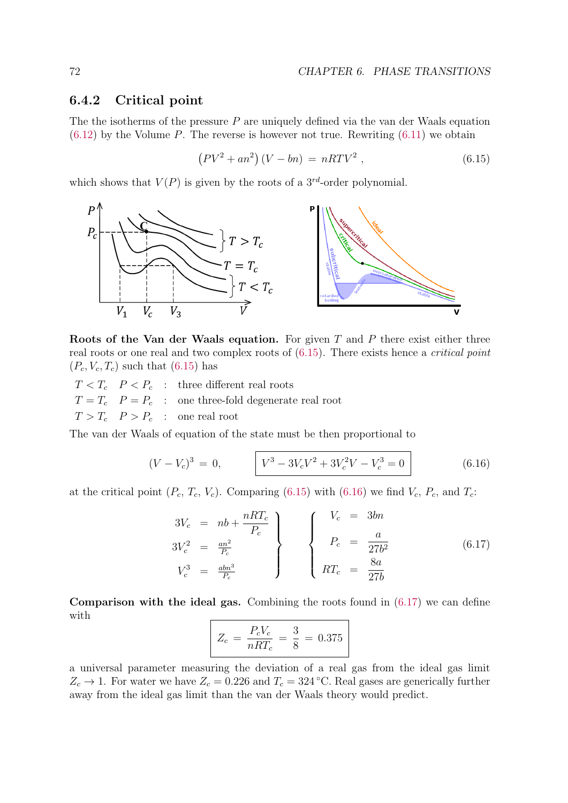#### 6.4.2 Critical point

The the isotherms of the pressure  $P$  are uniquely defined via the van der Waals equation  $(6.12)$  by the Volume P. The reverse is however not true. Rewriting  $(6.11)$  we obtain

$$
(PV2 + an2) (V - bn) = nRTV2,
$$
\n(6.15)

which shows that  $V(P)$  is given by the roots of a  $3^{rd}$ -order polynomial.



Roots of the Van der Waals equation. For given  $T$  and  $P$  there exist either three real roots or one real and two complex roots of (6.15). There exists hence a critical point  $(P_c, V_c, T_c)$  such that  $(6.15)$  has

 $T < T_c$   $P < P_c$  : three different real roots  $T = T_c$   $P = P_c$  : one three-fold degenerate real root  $T > T_c$   $P > P_c$  : one real root

The van der Waals of equation of the state must be then proportional to

$$
(V - V_c)^3 = 0, \qquad V^3 - 3V_cV^2 + 3V_c^2V - V_c^3 = 0
$$
\n(6.16)

at the critical point  $(P_c, T_c, V_c)$ . Comparing (6.15) with (6.16) we find  $V_c, P_c$ , and  $T_c$ :

$$
3V_c = nb + \frac{nRT_c}{P_c}
$$
  
\n
$$
3V_c^2 = \frac{an^2}{P_c}
$$
  
\n
$$
V_c^3 = \frac{abn^3}{P_c}
$$
  
\n
$$
\begin{cases}\nV_c = 3bn \\
P_c = \frac{a}{27b^2} \\
RT_c = \frac{8a}{27b}\n\end{cases}
$$
\n(6.17)

**Comparison with the ideal gas.** Combining the roots found in  $(6.17)$  we can define with

$$
Z_c = \frac{P_c V_c}{nRT_c} = \frac{3}{8} = 0.375
$$

a universal parameter measuring the deviation of a real gas from the ideal gas limit  $Z_c \rightarrow 1$ . For water we have  $Z_c = 0.226$  and  $T_c = 324$  °C. Real gases are generically further away from the ideal gas limit than the van der Waals theory would predict.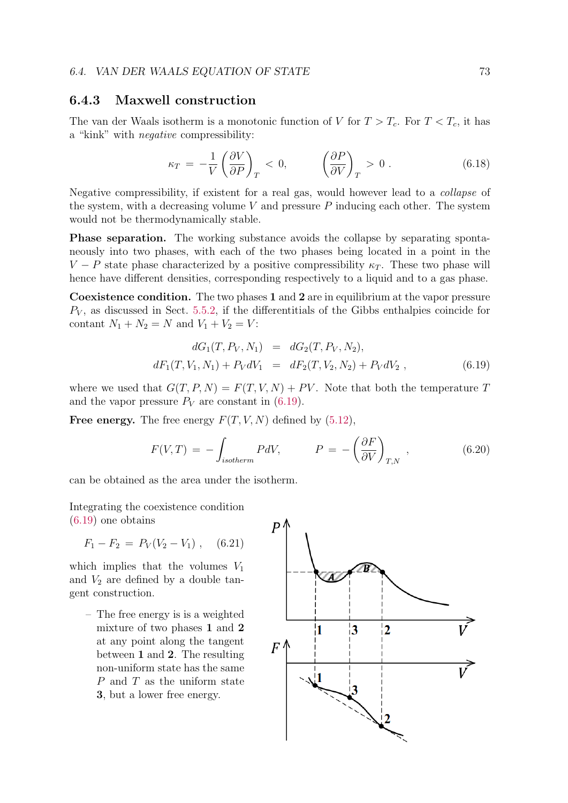#### 6.4.3 Maxwell construction

The van der Waals isotherm is a monotonic function of V for  $T > T_c$ . For  $T < T_c$ , it has a "kink" with negative compressibility:

$$
\kappa_T = -\frac{1}{V} \left( \frac{\partial V}{\partial P} \right)_T < 0, \qquad \left( \frac{\partial P}{\partial V} \right)_T > 0 \,. \tag{6.18}
$$

Negative compressibility, if existent for a real gas, would however lead to a collapse of the system, with a decreasing volume  $V$  and pressure  $P$  inducing each other. The system would not be thermodynamically stable.

Phase separation. The working substance avoids the collapse by separating spontaneously into two phases, with each of the two phases being located in a point in the V – P state phase characterized by a positive compressibility  $\kappa_T$ . These two phase will hence have different densities, corresponding respectively to a liquid and to a gas phase.

Coexistence condition. The two phases 1 and 2 are in equilibrium at the vapor pressure  $P_V$ , as discussed in Sect. 5.5.2, if the differentitials of the Gibbs enthalpies coincide for contant  $N_1 + N_2 = N$  and  $V_1 + V_2 = V$ :

$$
dG_1(T, P_V, N_1) = dG_2(T, P_V, N_2),
$$
  

$$
dF_1(T, V_1, N_1) + P_V dV_1 = dF_2(T, V_2, N_2) + P_V dV_2,
$$
 (6.19)

where we used that  $G(T, P, N) = F(T, V, N) + PV$ . Note that both the temperature T and the vapor pressure  $P_V$  are constant in (6.19).

**Free energy.** The free energy  $F(T, V, N)$  defined by  $(5.12)$ ,

$$
F(V,T) = -\int_{isotherm} PdV, \qquad P = -\left(\frac{\partial F}{\partial V}\right)_{T,N}, \qquad (6.20)
$$

can be obtained as the area under the isotherm.

Integrating the coexistence condition (6.19) one obtains

$$
F_1 - F_2 = P_V(V_2 - V_1) , \quad (6.21)
$$

which implies that the volumes  $V_1$ and  $V_2$  are defined by a double tangent construction.

– The free energy is is a weighted mixture of two phases 1 and 2 at any point along the tangent between 1 and 2. The resulting non-uniform state has the same P and T as the uniform state 3, but a lower free energy.